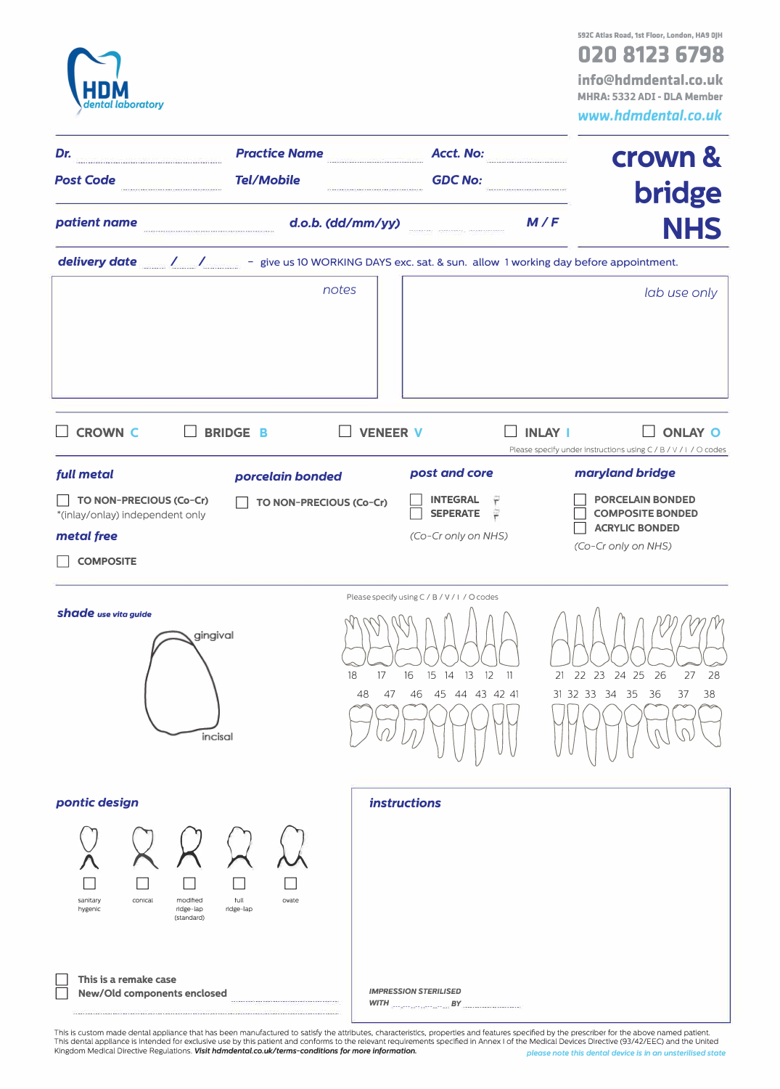| ental laboratory                                                                               |                                 |                                                                                                                       | 592C Atlas Road, 1st Floor, London, HA9 0JH<br>020 8123 6798<br>info@hdmdental.co.uk<br>MHRA: 5332 ADI - DLA Member<br>www.hdmdental.co.uk |  |  |  |  |
|------------------------------------------------------------------------------------------------|---------------------------------|-----------------------------------------------------------------------------------------------------------------------|--------------------------------------------------------------------------------------------------------------------------------------------|--|--|--|--|
| Practice Name<br>Acct. No:<br>Dr.<br><b>Tel/Mobile</b>                                         |                                 |                                                                                                                       | crown &                                                                                                                                    |  |  |  |  |
| <b>Post Code</b>                                                                               |                                 | <b>GDC No:</b>                                                                                                        | <b>bridge</b>                                                                                                                              |  |  |  |  |
| patient name                                                                                   | d.o.b. (dd/mm/yy)               | M/F<br><b>NHS</b>                                                                                                     |                                                                                                                                            |  |  |  |  |
|                                                                                                |                                 |                                                                                                                       |                                                                                                                                            |  |  |  |  |
|                                                                                                | notes                           |                                                                                                                       | lab use only                                                                                                                               |  |  |  |  |
| <b>CROWN C</b>                                                                                 | <b>BRIDGE B</b>                 | <b>VENEER V</b>                                                                                                       | <b>INLAY I</b><br><b>ONLAY O</b><br>Please specify under instructions using C / B / V / I / O codes                                        |  |  |  |  |
| full metal                                                                                     | porcelain bonded                | post and core                                                                                                         | maryland bridge                                                                                                                            |  |  |  |  |
| TO NON-PRECIOUS (Co-Cr)<br>*(inlay/onlay) independent only<br>metal free                       | TO NON-PRECIOUS (Co-Cr)         | <b>INTEGRAL</b><br>۳<br>旱<br><b>SEPERATE</b><br>(Co-Cr only on NHS)                                                   | <b>PORCELAIN BONDED</b><br><b>COMPOSITE BONDED</b><br><b>ACRYLIC BONDED</b><br>(Co-Cr only on NHS)                                         |  |  |  |  |
| <b>COMPOSITE</b>                                                                               |                                 |                                                                                                                       |                                                                                                                                            |  |  |  |  |
| <b>shade</b> use vita guide                                                                    | gingival<br>18<br>48<br>incisal | Please specify using C / B / V / I / O codes<br>17<br>16<br>15<br>13<br>14<br>12<br>-11<br>45 44 43 42 41<br>46<br>47 | 22 23 24 25<br>27<br>28<br>21<br>26<br>31 32 33 34<br>38<br>-35<br>36<br>37                                                                |  |  |  |  |
| pontic design                                                                                  |                                 | <b>instructions</b>                                                                                                   |                                                                                                                                            |  |  |  |  |
| sanitary<br>conical<br>modified<br>ridge-lap<br>hygenic<br>(standard)<br>This is a remake case | tull<br>ovate<br>ridge-lap      |                                                                                                                       |                                                                                                                                            |  |  |  |  |
| New/Old components enclosed                                                                    |                                 | <b>IMPRESSION STERILISED</b><br>$WITH$ $BY$                                                                           |                                                                                                                                            |  |  |  |  |

This is custom made dental appliance that has been manufactured to satisfy the attributes, characteristics, properties and features specified by the prescriber for the above named patient.<br>This dental appliance is intended